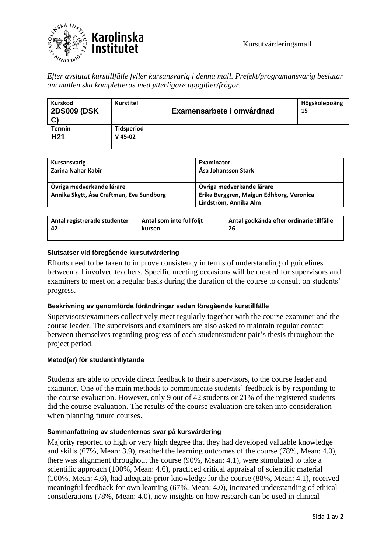

*Efter avslutat kurstillfälle fyller kursansvarig i denna mall. Prefekt/programansvarig beslutar om mallen ska kompletteras med ytterligare uppgifter/frågor.* 

| Kurskod<br><b>2DS009 (DSK</b><br>$\mathbf{C}$ | <b>Kurstitel</b>               | Examensarbete i omvårdnad | Högskolepoäng<br>15 |
|-----------------------------------------------|--------------------------------|---------------------------|---------------------|
| <b>Termin</b><br>H <sub>21</sub>              | <b>Tidsperiod</b><br>$V$ 45-02 |                           |                     |

| Kursansvarig<br>Zarina Nahar Kabir       | Examinator<br>Åsa Johansson Stark        |
|------------------------------------------|------------------------------------------|
| Övriga medverkande lärare                | Övriga medverkande lärare                |
| Annika Skytt, Åsa Craftman, Eva Sundborg | Erika Berggren, Maigun Edhborg, Veronica |
|                                          | Lindström, Annika Alm                    |

| Antal registrerade studenter | Antal som inte fullföljt | Antal godkända efter ordinarie tillfälle |
|------------------------------|--------------------------|------------------------------------------|
| -42                          | kursen                   | 26                                       |
|                              |                          |                                          |

# **Slutsatser vid föregående kursutvärdering**

Efforts need to be taken to improve consistency in terms of understanding of guidelines between all involved teachers. Specific meeting occasions will be created for supervisors and examiners to meet on a regular basis during the duration of the course to consult on students' progress.

# **Beskrivning av genomförda förändringar sedan föregående kurstillfälle**

Supervisors/examiners collectively meet regularly together with the course examiner and the course leader. The supervisors and examiners are also asked to maintain regular contact between themselves regarding progress of each student/student pair's thesis throughout the project period.

### **Metod(er) för studentinflytande**

Students are able to provide direct feedback to their supervisors, to the course leader and examiner. One of the main methods to communicate students' feedback is by responding to the course evaluation. However, only 9 out of 42 students or 21% of the registered students did the course evaluation. The results of the course evaluation are taken into consideration when planning future courses.

# **Sammanfattning av studenternas svar på kursvärdering**

Majority reported to high or very high degree that they had developed valuable knowledge and skills (67%, Mean: 3.9), reached the learning outcomes of the course (78%, Mean: 4.0), there was alignment throughout the course (90%, Mean: 4.1), were stimulated to take a scientific approach (100%, Mean: 4.6), practiced critical appraisal of scientific material (100%, Mean: 4.6), had adequate prior knowledge for the course (88%, Mean: 4.1), received meaningful feedback for own learning (67%, Mean: 4.0), increased understanding of ethical considerations (78%, Mean: 4.0), new insights on how research can be used in clinical